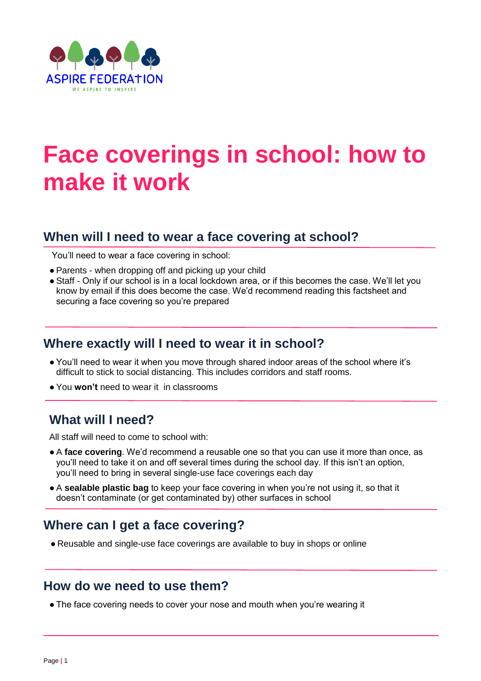

# **Face coverings in school: how to make it work**

# **When will I need to wear a face covering at school?**

You'll need to wear a face covering in school:

- Parents when dropping off and picking up your child
- Staff Only if our school is in a local lockdown area, or if this becomes the case. We'll let you know by email if this does become the case. We'd recommend reading this factsheet and securing a face covering so you're prepared

#### **Where exactly will I need to wear it in school?**

- You'll need to wear it when you move through shared indoor areas of the school where it's difficult to stick to social distancing. This includes corridors and staff rooms.
- You **won't** need to wear it in classrooms

## **What will I need?**

All staff will need to come to school with:

- A **face covering**. We'd recommend a reusable one so that you can use it more than once, as you'll need to take it on and off several times during the school day. If this isn't an option, you'll need to bring in several single-use face coverings each day
- A **sealable plastic bag** to keep your face covering in when you're not using it, so that it doesn't contaminate (or get contaminated by) other surfaces in school

# **Where can I get a face covering?**

● Reusable and single-use face coverings are available to buy in shops or online

#### **How do we need to use them?**

• The face covering needs to cover your nose and mouth when you're wearing it